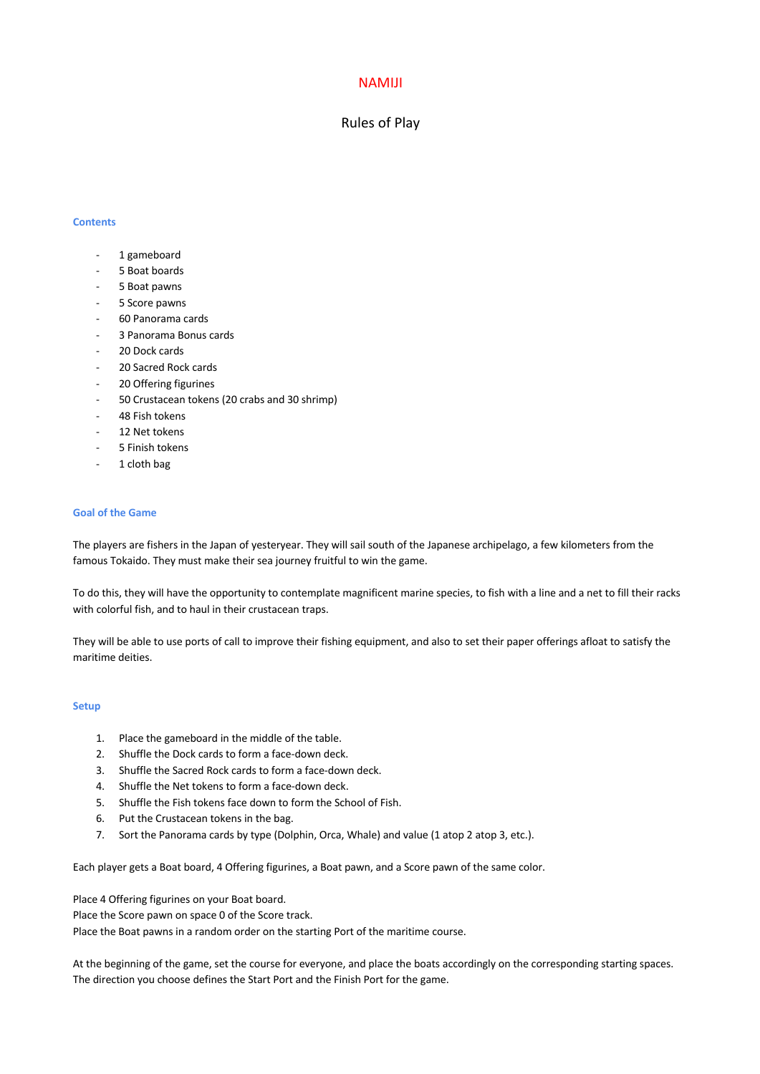# NAMIJI

# Rules of Play

## **Contents**

- 1 gameboard
- 5 Boat boards
- 5 Boat pawns
- 5 Score pawns
- 60 Panorama cards
- 3 Panorama Bonus cards
- 20 Dock cards
- 20 Sacred Rock cards
- 20 Offering figurines
- 50 Crustacean tokens (20 crabs and 30 shrimp)
- 48 Fish tokens
- 12 Net tokens
- 5 Finish tokens
- 1 cloth bag

# **Goal of the Game**

The players are fishers in the Japan of yesteryear. They will sail south of the Japanese archipelago, a few kilometers from the famous Tokaido. They must make their sea journey fruitful to win the game.

To do this, they will have the opportunity to contemplate magnificent marine species, to fish with a line and a net to fill their racks with colorful fish, and to haul in their crustacean traps.

They will be able to use ports of call to improve their fishing equipment, and also to set their paper offerings afloat to satisfy the maritime deities.

#### **Setup**

- 1. Place the gameboard in the middle of the table.
- 2. Shuffle the Dock cards to form a face-down deck.
- 3. Shuffle the Sacred Rock cards to form a face-down deck.
- 4. Shuffle the Net tokens to form a face-down deck.
- 5. Shuffle the Fish tokens face down to form the School of Fish.
- 6. Put the Crustacean tokens in the bag.
- 7. Sort the Panorama cards by type (Dolphin, Orca, Whale) and value (1 atop 2 atop 3, etc.).

Each player gets a Boat board, 4 Offering figurines, a Boat pawn, and a Score pawn of the same color.

Place 4 Offering figurines on your Boat board.

Place the Score pawn on space 0 of the Score track.

Place the Boat pawns in a random order on the starting Port of the maritime course.

At the beginning of the game, set the course for everyone, and place the boats accordingly on the corresponding starting spaces. The direction you choose defines the Start Port and the Finish Port for the game.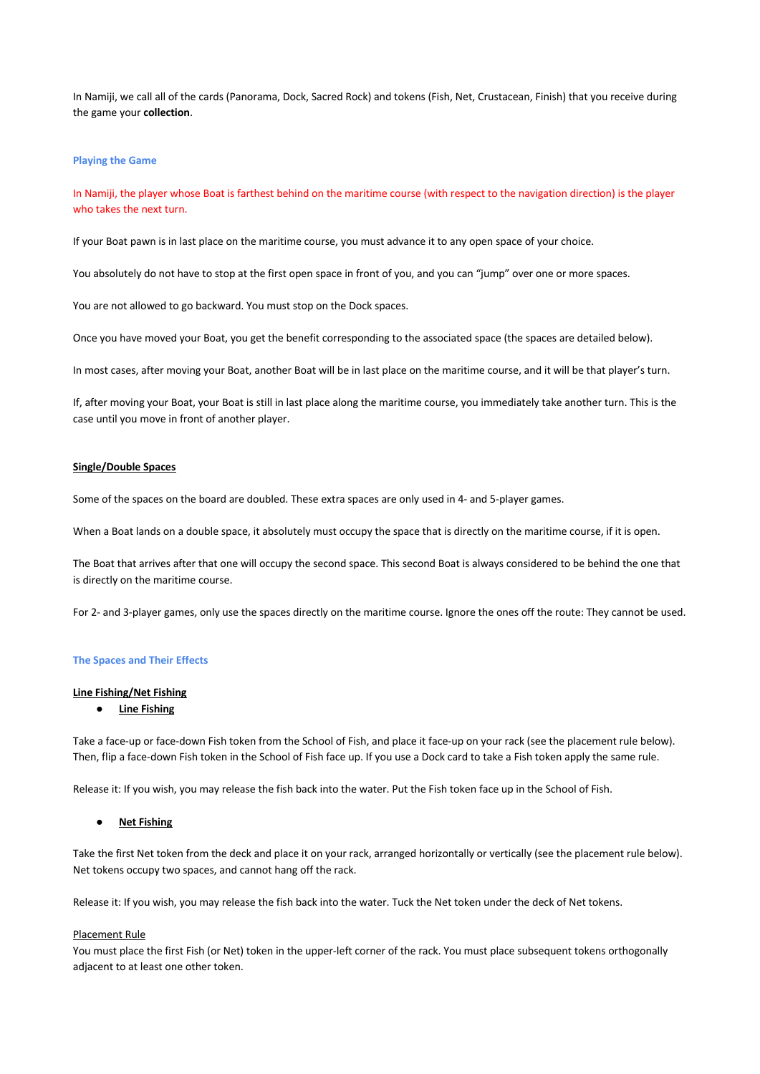In Namiji, we call all of the cards (Panorama, Dock, Sacred Rock) and tokens (Fish, Net, Crustacean, Finish) that you receive during the game your **collection**.

#### **Playing the Game**

In Namiji, the player whose Boat is farthest behind on the maritime course (with respect to the navigation direction) is the player who takes the next turn.

If your Boat pawn is in last place on the maritime course, you must advance it to any open space of your choice.

You absolutely do not have to stop at the first open space in front of you, and you can "jump" over one or more spaces.

You are not allowed to go backward. You must stop on the Dock spaces.

Once you have moved your Boat, you get the benefit corresponding to the associated space (the spaces are detailed below).

In most cases, after moving your Boat, another Boat will be in last place on the maritime course, and it will be that player's turn.

If, after moving your Boat, your Boat is still in last place along the maritime course, you immediately take another turn. This is the case until you move in front of another player.

# **Single/Double Spaces**

Some of the spaces on the board are doubled. These extra spaces are only used in 4- and 5-player games.

When a Boat lands on a double space, it absolutely must occupy the space that is directly on the maritime course, if it is open.

The Boat that arrives after that one will occupy the second space. This second Boat is always considered to be behind the one that is directly on the maritime course.

For 2- and 3-player games, only use the spaces directly on the maritime course. Ignore the ones off the route: They cannot be used.

## **The Spaces and Their Effects**

# **Line Fishing/Net Fishing**

● **Line Fishing**

Take a face-up or face-down Fish token from the School of Fish, and place it face-up on your rack (see the placement rule below). Then, flip a face-down Fish token in the School of Fish face up. If you use a Dock card to take a Fish token apply the same rule.

Release it: If you wish, you may release the fish back into the water. Put the Fish token face up in the School of Fish.

#### ● **Net Fishing**

Take the first Net token from the deck and place it on your rack, arranged horizontally or vertically (see the placement rule below). Net tokens occupy two spaces, and cannot hang off the rack.

Release it: If you wish, you may release the fish back into the water. Tuck the Net token under the deck of Net tokens.

#### Placement Rule

You must place the first Fish (or Net) token in the upper-left corner of the rack. You must place subsequent tokens orthogonally adjacent to at least one other token.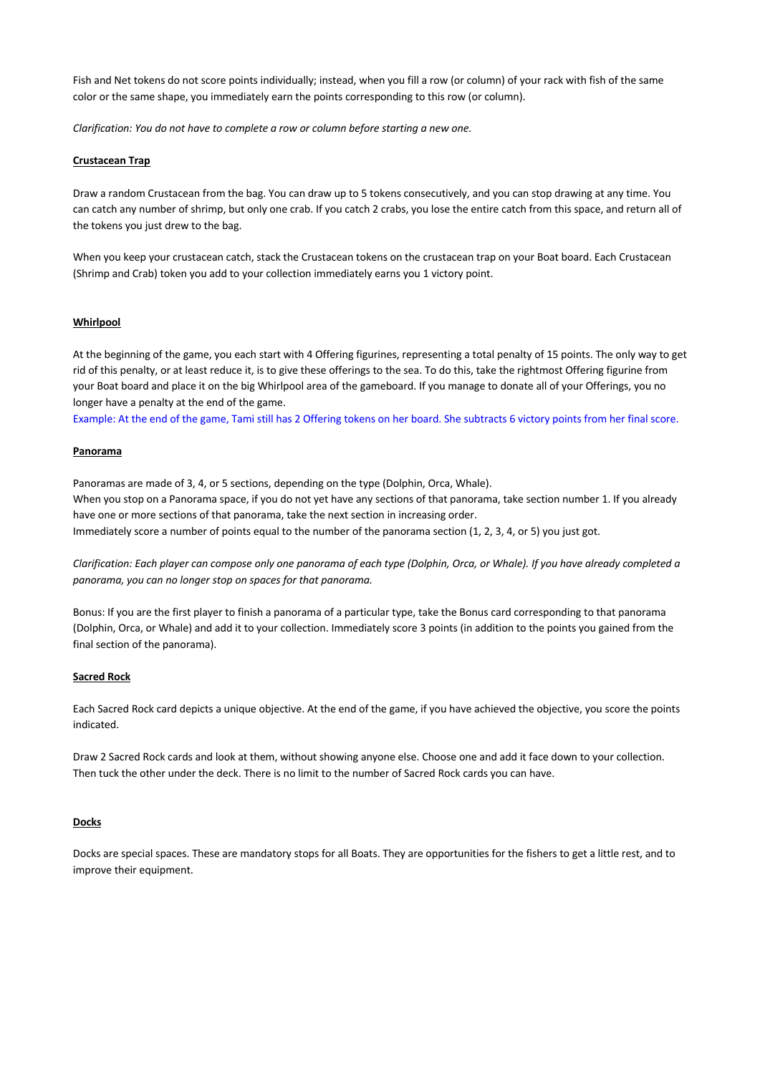Fish and Net tokens do not score points individually; instead, when you fill a row (or column) of your rack with fish of the same color or the same shape, you immediately earn the points corresponding to this row (or column).

*Clarification: You do not have to complete a row or column before starting a new one.*

## **Crustacean Trap**

Draw a random Crustacean from the bag. You can draw up to 5 tokens consecutively, and you can stop drawing at any time. You can catch any number of shrimp, but only one crab. If you catch 2 crabs, you lose the entire catch from this space, and return all of the tokens you just drew to the bag.

When you keep your crustacean catch, stack the Crustacean tokens on the crustacean trap on your Boat board. Each Crustacean (Shrimp and Crab) token you add to your collection immediately earns you 1 victory point.

#### **Whirlpool**

At the beginning of the game, you each start with 4 Offering figurines, representing a total penalty of 15 points. The only way to get rid of this penalty, or at least reduce it, is to give these offerings to the sea. To do this, take the rightmost Offering figurine from your Boat board and place it on the big Whirlpool area of the gameboard. If you manage to donate all of your Offerings, you no longer have a penalty at the end of the game.

Example: At the end of the game, Tami still has 2 Offering tokens on her board. She subtracts 6 victory points from her final score.

#### **Panorama**

Panoramas are made of 3, 4, or 5 sections, depending on the type (Dolphin, Orca, Whale). When you stop on a Panorama space, if you do not yet have any sections of that panorama, take section number 1. If you already have one or more sections of that panorama, take the next section in increasing order. Immediately score a number of points equal to the number of the panorama section (1, 2, 3, 4, or 5) you just got.

*Clarification: Each player can compose only one panorama of each type (Dolphin, Orca, or Whale). If you have already completed a panorama, you can no longer stop on spaces for that panorama.*

Bonus: If you are the first player to finish a panorama of a particular type, take the Bonus card corresponding to that panorama (Dolphin, Orca, or Whale) and add it to your collection. Immediately score 3 points (in addition to the points you gained from the final section of the panorama).

## **Sacred Rock**

Each Sacred Rock card depicts a unique objective. At the end of the game, if you have achieved the objective, you score the points indicated.

Draw 2 Sacred Rock cards and look at them, without showing anyone else. Choose one and add it face down to your collection. Then tuck the other under the deck. There is no limit to the number of Sacred Rock cards you can have.

#### **Docks**

Docks are special spaces. These are mandatory stops for all Boats. They are opportunities for the fishers to get a little rest, and to improve their equipment.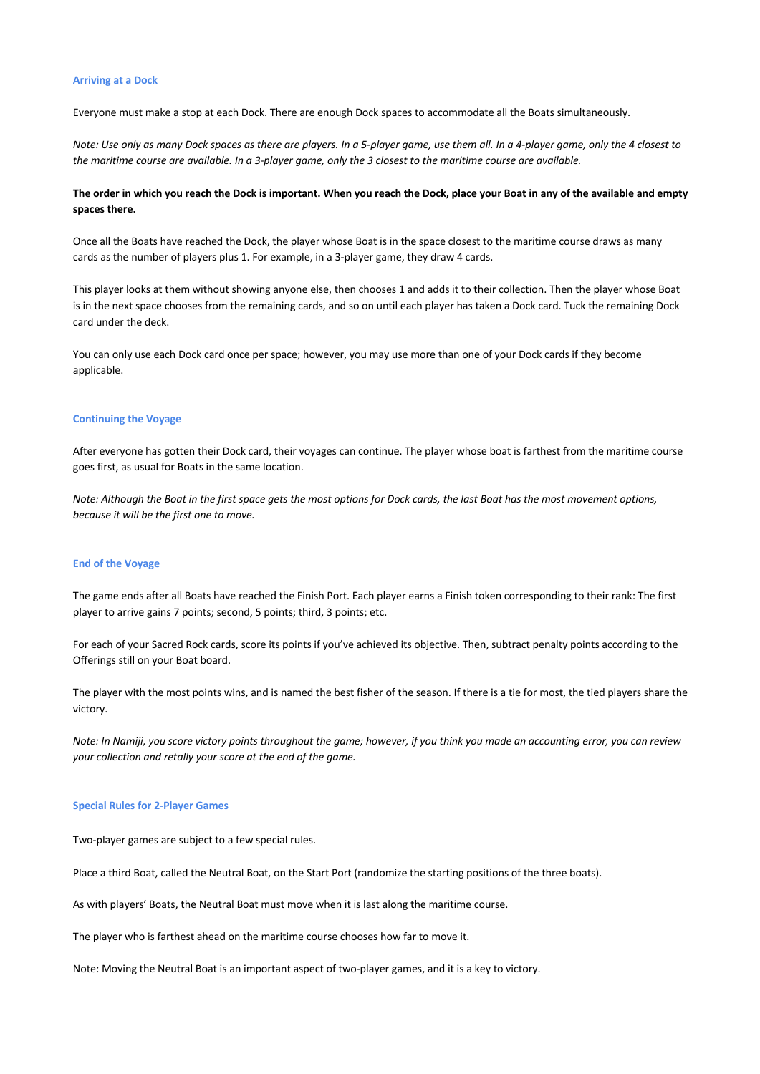#### **Arriving at a Dock**

Everyone must make a stop at each Dock. There are enough Dock spaces to accommodate all the Boats simultaneously.

*Note: Use only as many Dock spaces as there are players. In a 5-player game, use them all. In a 4-player game, only the 4 closest to the maritime course are available. In a 3-player game, only the 3 closest to the maritime course are available.*

# **The order in which you reach the Dock is important. When you reach the Dock, place your Boat in any of the available and empty spaces there.**

Once all the Boats have reached the Dock, the player whose Boat is in the space closest to the maritime course draws as many cards as the number of players plus 1. For example, in a 3-player game, they draw 4 cards.

This player looks at them without showing anyone else, then chooses 1 and adds it to their collection. Then the player whose Boat is in the next space chooses from the remaining cards, and so on until each player has taken a Dock card. Tuck the remaining Dock card under the deck.

You can only use each Dock card once per space; however, you may use more than one of your Dock cards if they become applicable.

#### **Continuing the Voyage**

After everyone has gotten their Dock card, their voyages can continue. The player whose boat is farthest from the maritime course goes first, as usual for Boats in the same location.

*Note: Although the Boat in the first space gets the most options for Dock cards, the last Boat has the most movement options, because it will be the first one to move.*

## **End of the Voyage**

The game ends after all Boats have reached the Finish Port. Each player earns a Finish token corresponding to their rank: The first player to arrive gains 7 points; second, 5 points; third, 3 points; etc.

For each of your Sacred Rock cards, score its points if you've achieved its objective. Then, subtract penalty points according to the Offerings still on your Boat board.

The player with the most points wins, and is named the best fisher of the season. If there is a tie for most, the tied players share the victory.

*Note: In Namiji, you score victory points throughout the game; however, if you think you made an accounting error, you can review your collection and retally your score at the end of the game.*

### **Special Rules for 2-Player Games**

Two-player games are subject to a few special rules.

Place a third Boat, called the Neutral Boat, on the Start Port (randomize the starting positions of the three boats).

As with players' Boats, the Neutral Boat must move when it is last along the maritime course.

The player who is farthest ahead on the maritime course chooses how far to move it.

Note: Moving the Neutral Boat is an important aspect of two-player games, and it is a key to victory.